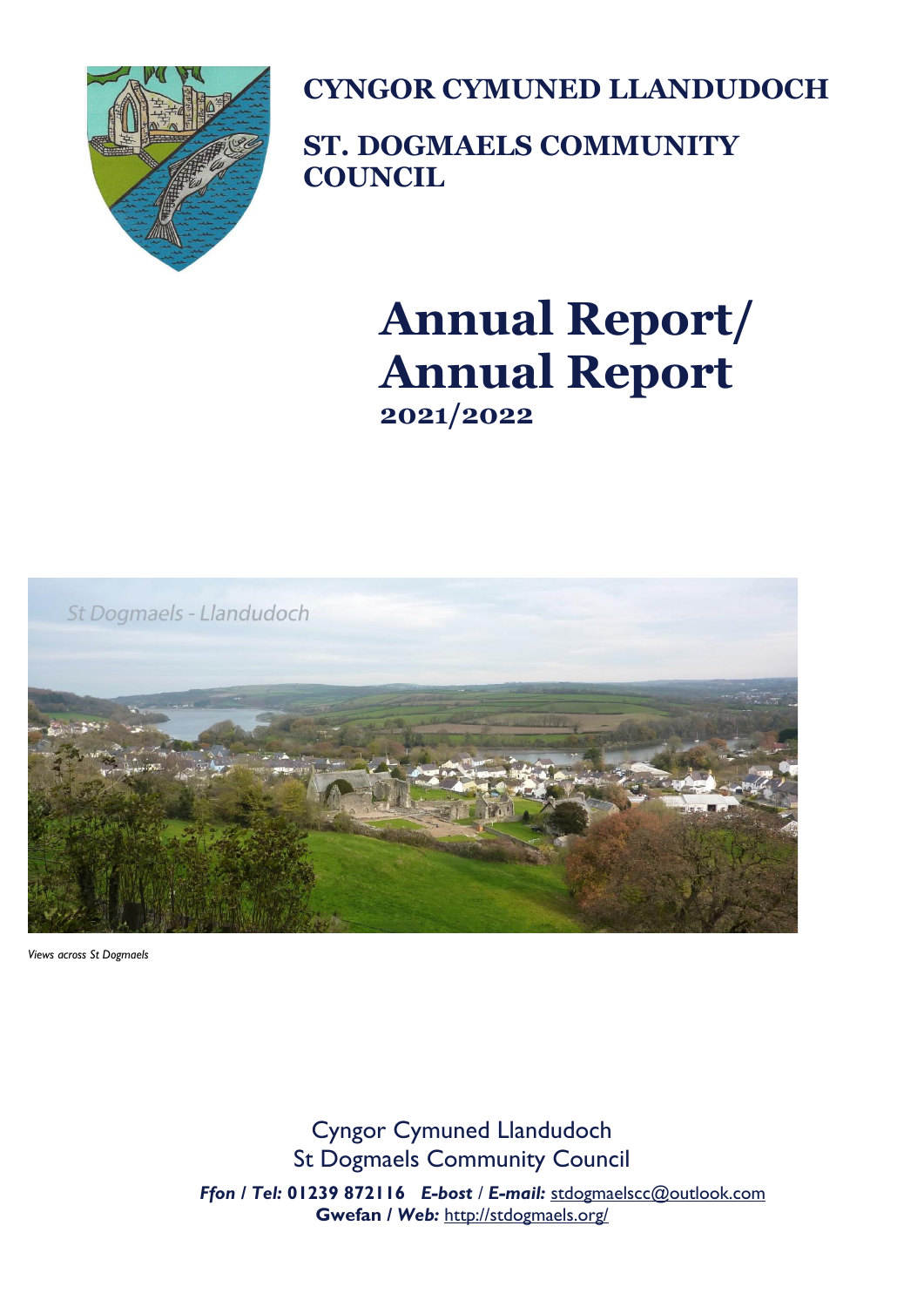

**CYNGOR CYMUNED LLANDUDOCH**

**ST. DOGMAELS COMMUNITY COUNCIL**

# **Annual Report/ Annual Report 2021/2022**



*Views across St Dogmaels*

Cyngor Cymuned Llandudoch St Dogmaels Community Council  *Ffon / Tel:* **01239 872116** *E-bost / E-mail:* [stdogmaelscc@outlook.com](mailto:stdogmaelscc@outlook.com)  **Gwefan** */ Web:* <http://stdogmaels.org/>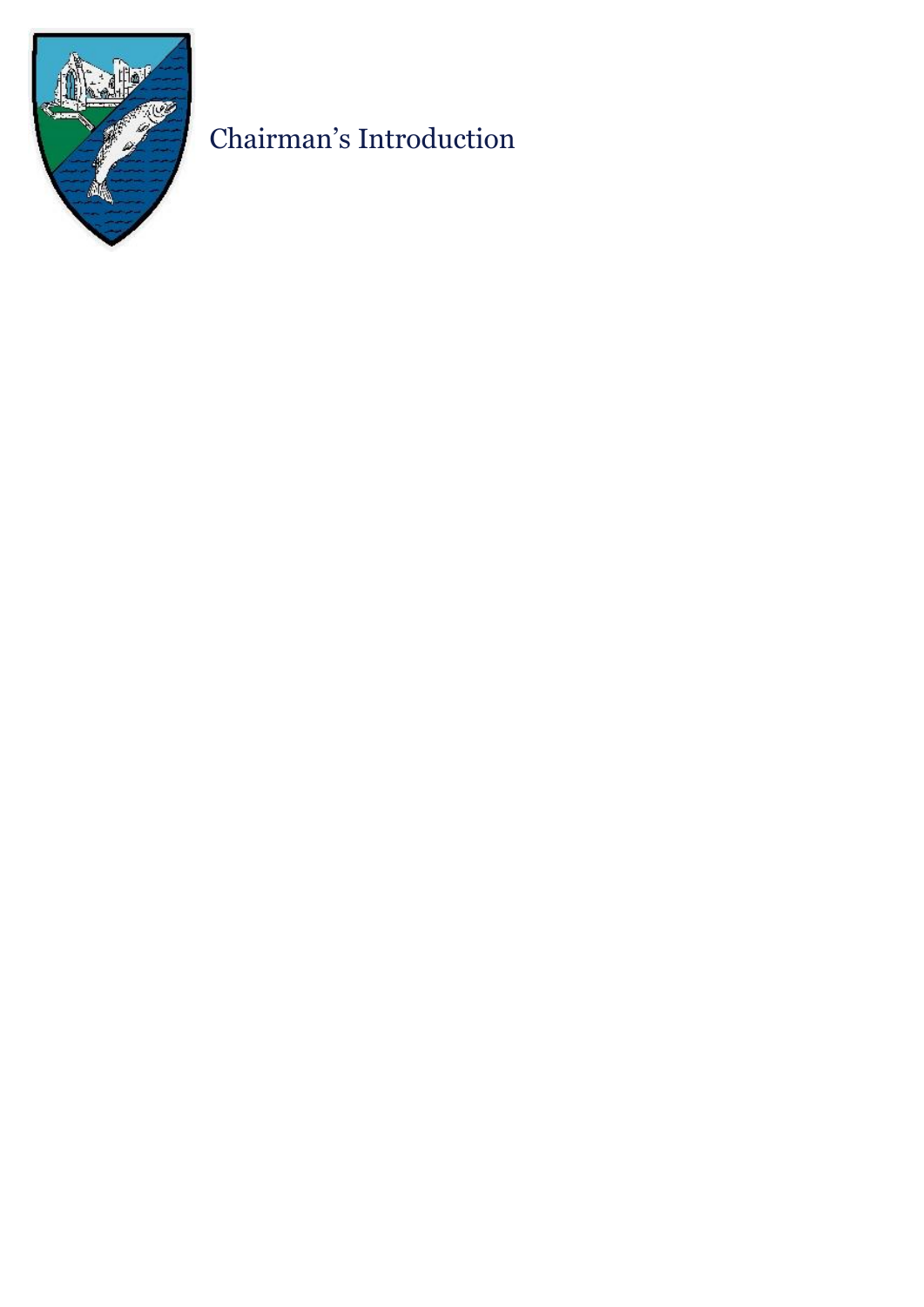

## Chairman's Introduction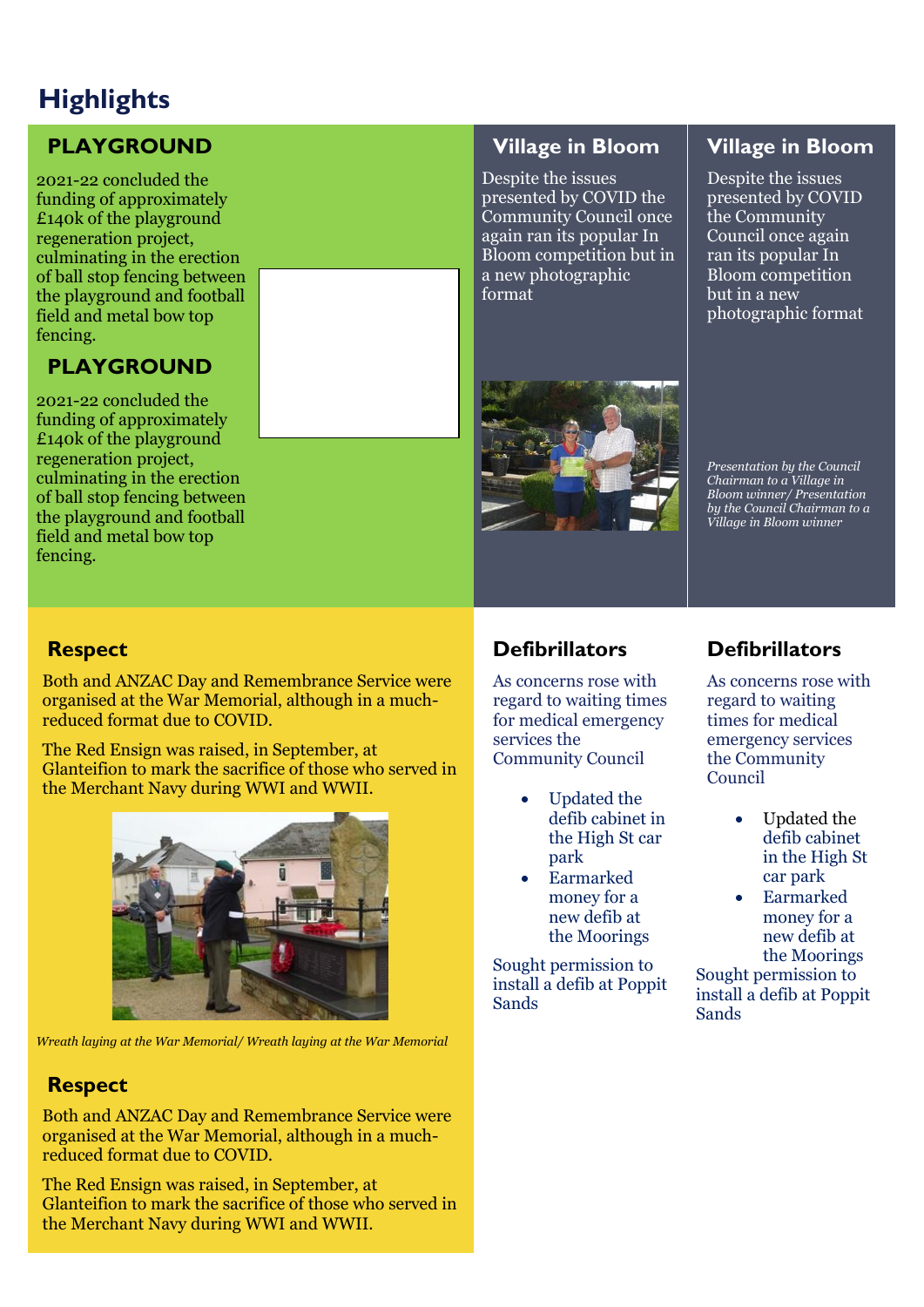## **Highlights**

## **PLAYGROUND**

2021-22 concluded the funding of approximately £140k of the playground regeneration project, culminating in the erection of ball stop fencing between the playground and football field and metal bow top fencing.

## **PLAYGROUND**

2021-22 concluded the funding of approximately £140k of the playground regeneration project, culminating in the erection of ball stop fencing between the playground and football field and metal bow top fencing.

### **Village in Bloom**

Despite the issues presented by COVID the Community Council once again ran its popular In Bloom competition but in a new photographic format

## **Village in Bloom**

Despite the issues presented by COVID the Community Council once again ran its popular In Bloom competition but in a new photographic format



*Presentation by the Council Chairman to a Village in Bloom winner/ Presentation by the Council Chairman to a Village in Bloom winner*

## **Respect**

Both and ANZAC Day and Remembrance Service were organised at the War Memorial, although in a muchreduced format due to COVID.

The Red Ensign was raised, in September, at Glanteifion to mark the sacrifice of those who served in the Merchant Navy during WWI and WWII.



*Wreath laying at the War Memorial/ Wreath laying at the War Memorial*

## **Respect**

Both and ANZAC Day and Remembrance Service were organised at the War Memorial, although in a muchreduced format due to COVID.

The Red Ensign was raised, in September, at Glanteifion to mark the sacrifice of those who served in the Merchant Navy during WWI and WWII.

## **Defibrillators**

As concerns rose with regard to waiting times for medical emergency services the Community Council

- Updated the defib cabinet in the High St car park
- Earmarked money for a new defib at the Moorings

Sought permission to install a defib at Poppit Sands

## **Defibrillators**

As concerns rose with regard to waiting times for medical emergency services the Community Council

- Updated the defib cabinet in the High St car park
- Earmarked money for a new defib at the Moorings

Sought permission to install a defib at Poppit Sands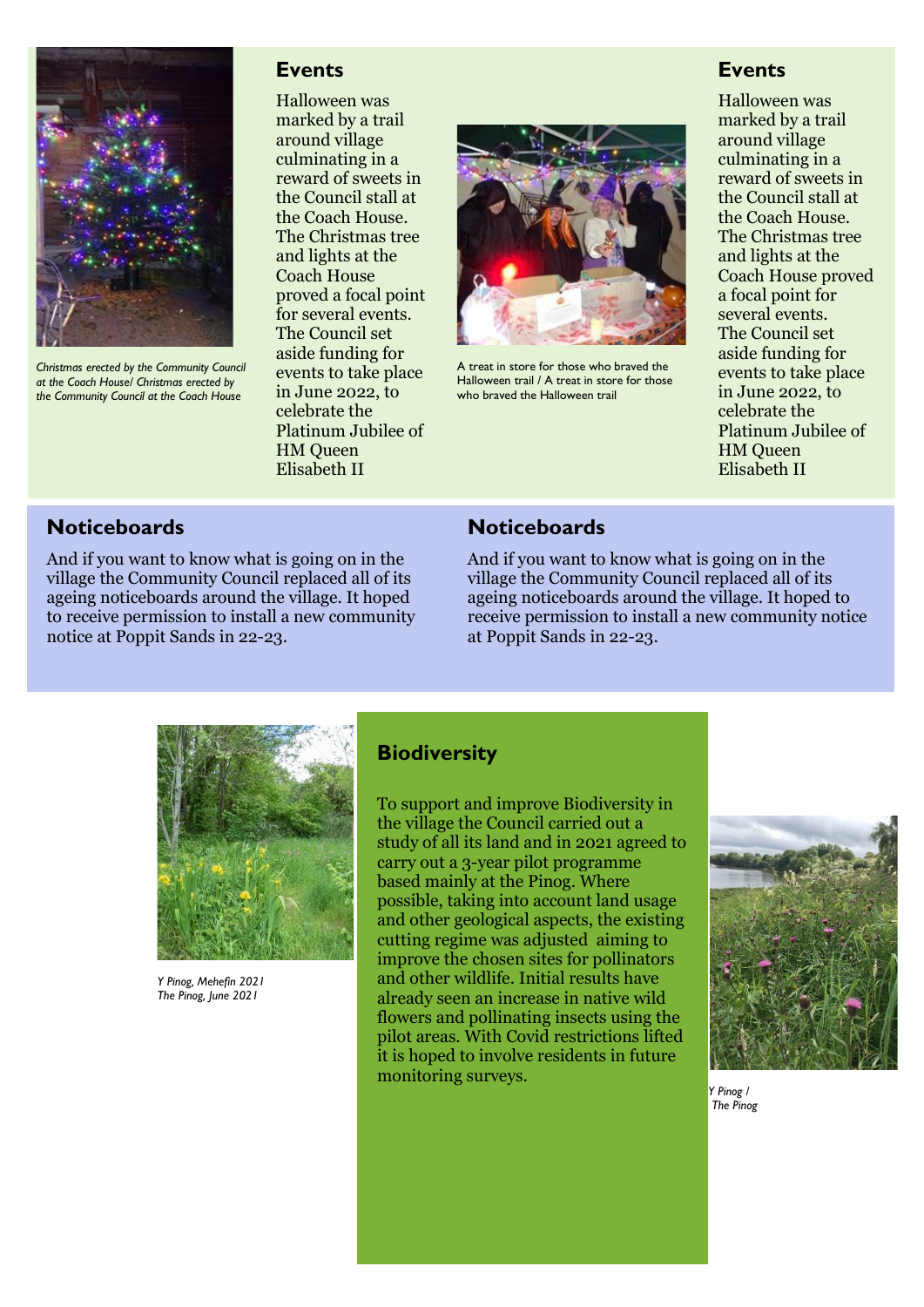

*Christmas erected by the Community Council at the Coach House/ Christmas erected by the Community Council at the Coach House*

#### **Events**

Halloween was marked by a trail around village culminating in a reward of sweets in the Council stall at the Coach House. The Christmas tree and lights at the Coach House proved a focal point for several events. The Council set aside funding for events to take place in June 2022, to celebrate the Platinum Jubilee of HM Queen Elisabeth II



A treat in store for those who braved the Halloween trail / A treat in store for those who braved the Halloween trail

#### **Events**

Halloween was marked by a trail around village culminating in a reward of sweets in the Council stall at the Coach House. The Christmas tree and lights at the Coach House proved a focal point for several events. The Council set aside funding for events to take place in June 2022, to celebrate the Platinum Jubilee of HM Queen Elisabeth II

### **Noticeboards**

And if you want to know what is going on in the village the Community Council replaced all of its ageing noticeboards around the village. It hoped to receive permission to install a new community notice at Poppit Sands in 22-23.

#### **Noticeboards**

And if you want to know what is going on in the village the Community Council replaced all of its ageing noticeboards around the village. It hoped to receive permission to install a new community notice at Poppit Sands in 22-23.



*Y Pinog, Mehefin 2021 The Pinog, June 2021*

#### **Biodiversity**

To support and improve Biodiversity in the village the Council carried out a study of all its land and in 2021 agreed to carry out a 3-year pilot programme based mainly at the Pinog. Where possible, taking into account land usage and other geological aspects, the existing cutting regime was adjusted aiming to improve the chosen sites for pollinators and other wildlife. Initial results have already seen an increase in native wild flowers and pollinating insects using the pilot areas. With Covid restrictions lifted it is hoped to involve residents in future monitoring surveys.



*Y Pinog / The Pinog*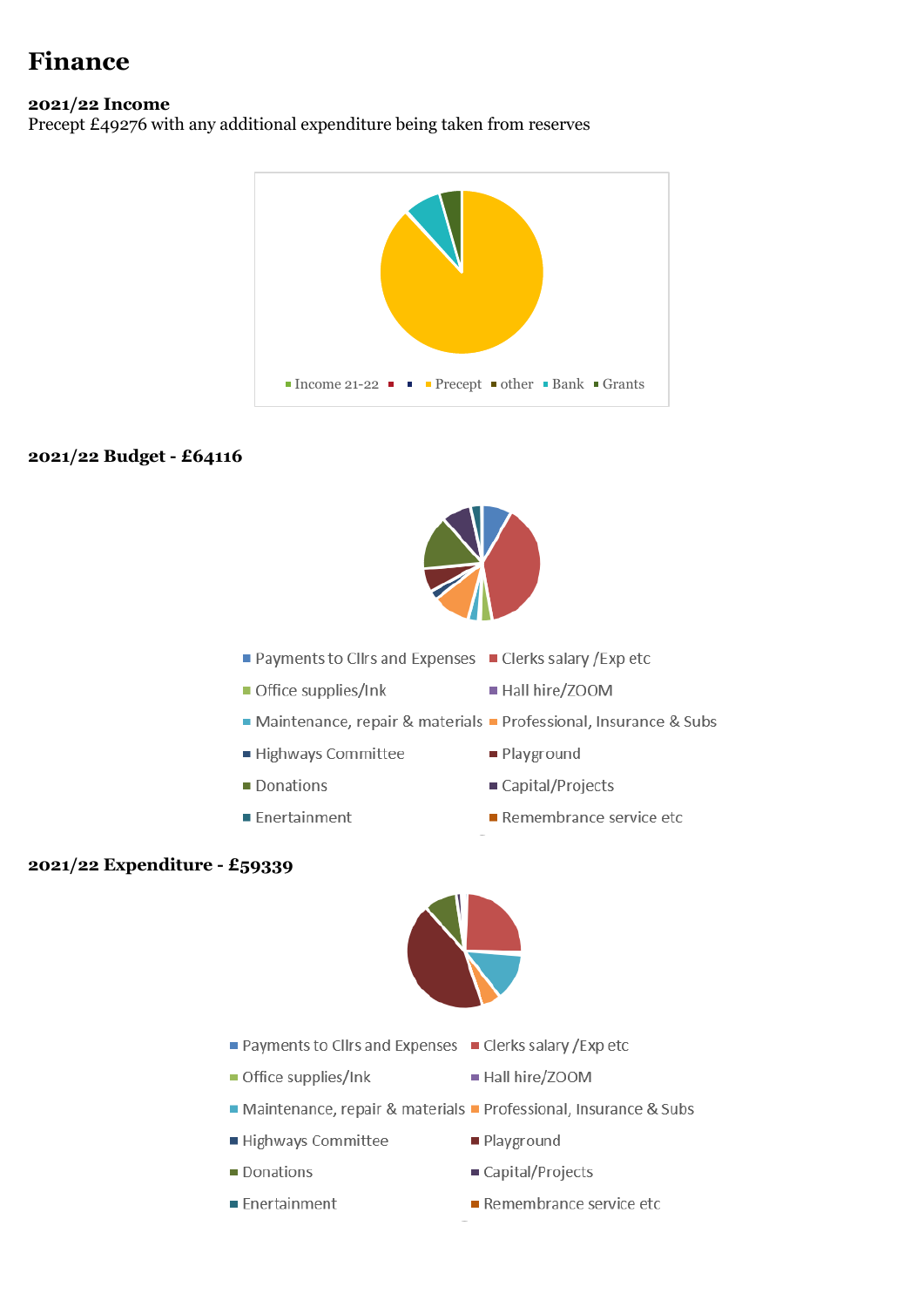## **Finance**

#### **2021/22 Income**

Precept £49276 with any additional expenditure being taken from reserves



#### **2021/22 Budget - £64116**



- Payments to Cllrs and Expenses Clerks salary / Exp etc
- Office supplies/Ink
- Maintenance, repair & materials Professional, Insurance & Subs
- Highways Committee
- $\blacksquare$  Donations
- $\blacksquare$  Enertainment

Hall hire/ZOOM

- Playground
- Capital/Projects
- Remembrance service etc

#### **2021/22 Expenditure - £59339**



- Payments to Cllrs and Expenses Clerks salary / Exp etc
- Office supplies/Ink
- Maintenance, repair & materials Professional, Insurance & Subs
- Highways Committee
- Donations
- **Enertainment**
- Hall hire/ZOOM
- Playground
- Capital/Projects
- Remembrance service etc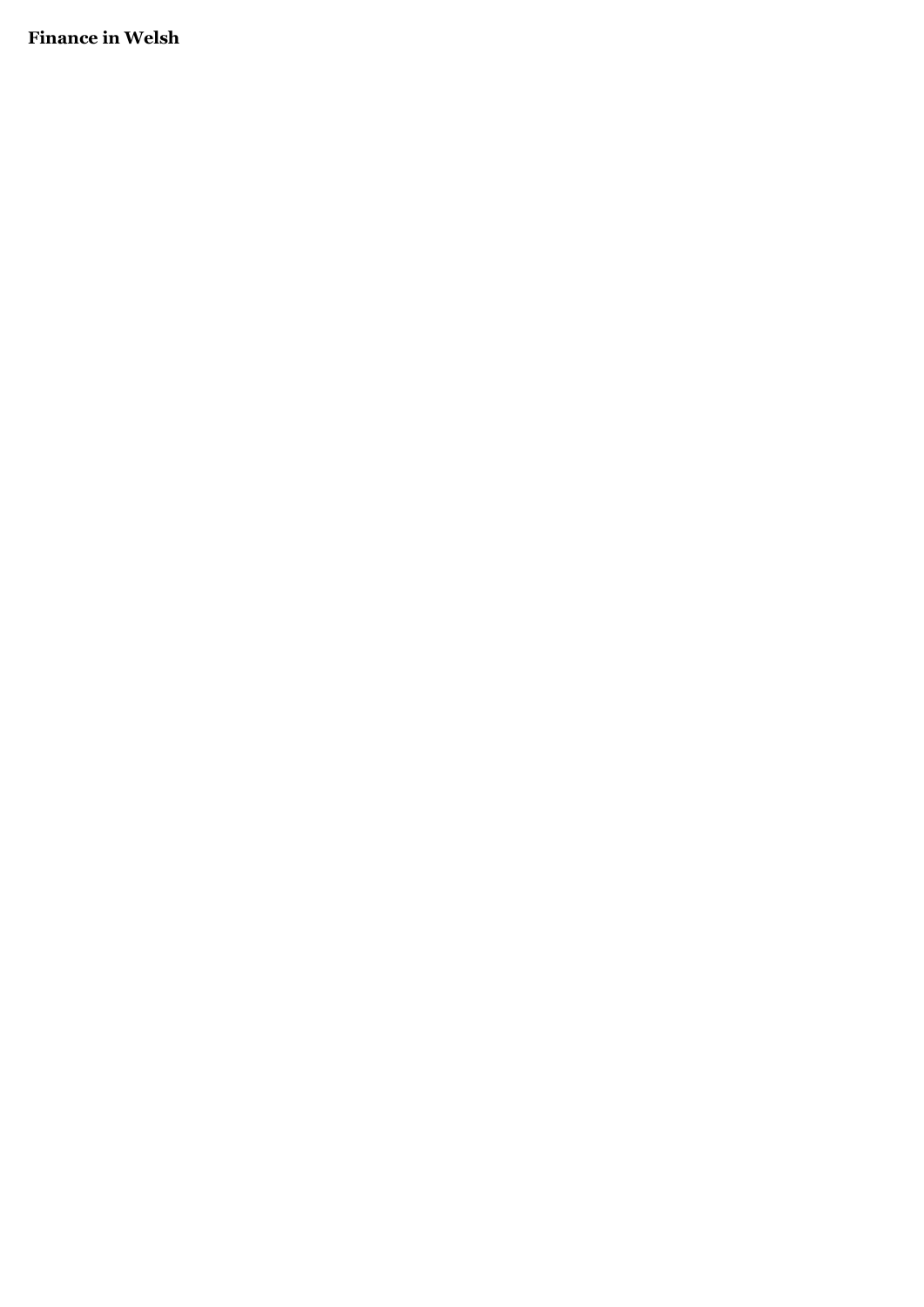**Finance in Welsh**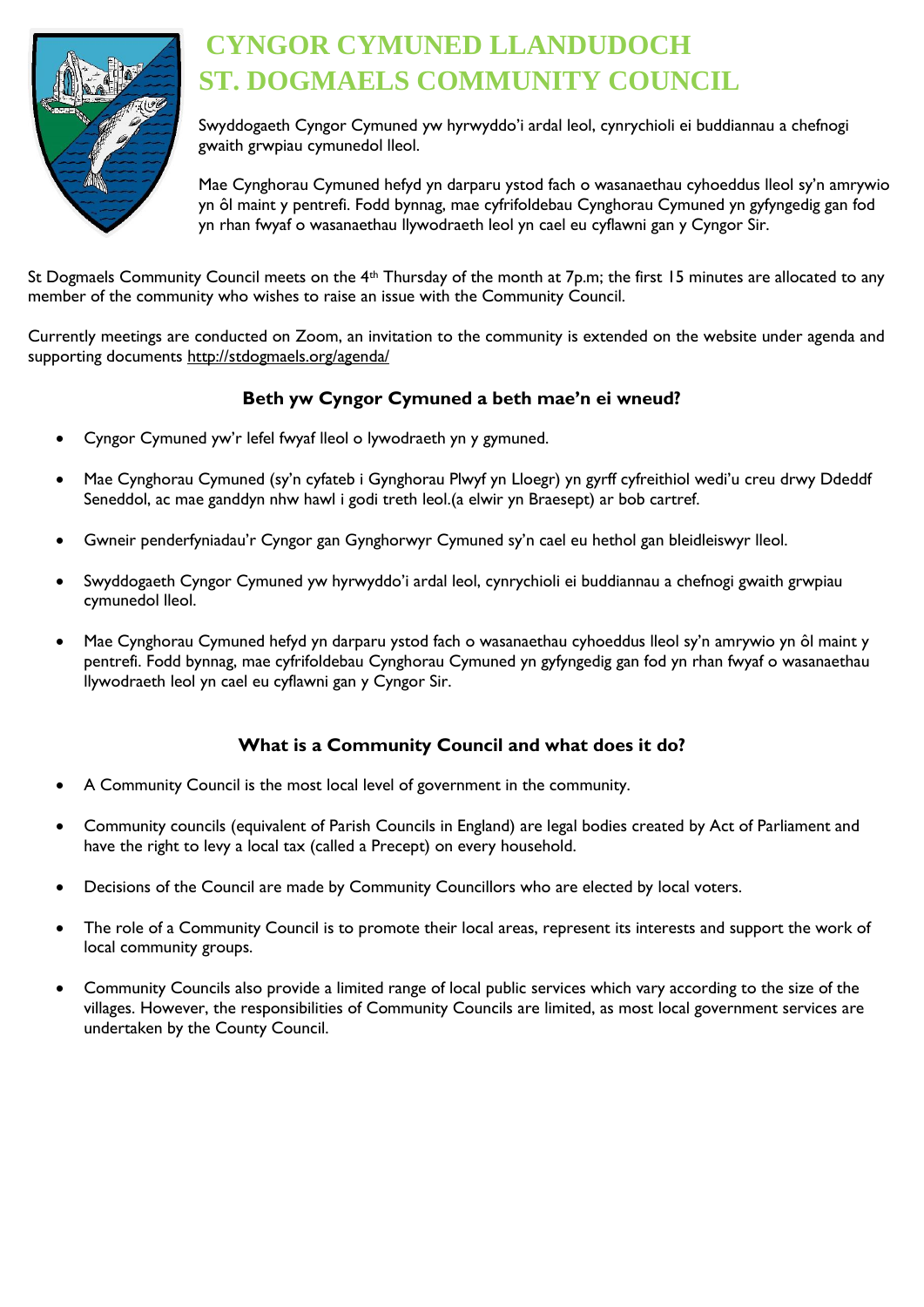

## **CYNGOR CYMUNED LLANDUDOCH ST. DOGMAELS COMMUNITY COUNCIL**

Swyddogaeth Cyngor Cymuned yw hyrwyddo'i ardal leol, cynrychioli ei buddiannau a chefnogi gwaith grwpiau cymunedol lleol.

Mae Cynghorau Cymuned hefyd yn darparu ystod fach o wasanaethau cyhoeddus lleol sy'n amrywio yn ôl maint y pentrefi. Fodd bynnag, mae cyfrifoldebau Cynghorau Cymuned yn gyfyngedig gan fod yn rhan fwyaf o wasanaethau llywodraeth leol yn cael eu cyflawni gan y Cyngor Sir.

St Dogmaels Community Council meets on the 4<sup>th</sup> Thursday of the month at 7p.m; the first 15 minutes are allocated to any member of the community who wishes to raise an issue with the Community Council.

Currently meetings are conducted on Zoom, an invitation to the community is extended on the website under agenda and supporting documents<http://stdogmaels.org/agenda/>

### **Beth yw Cyngor Cymuned a beth mae'n ei wneud?**

- Cyngor Cymuned yw'r lefel fwyaf lleol o lywodraeth yn y gymuned.
- Mae Cynghorau Cymuned (sy'n cyfateb i Gynghorau Plwyf yn Lloegr) yn gyrff cyfreithiol wedi'u creu drwy Ddeddf Seneddol, ac mae ganddyn nhw hawl i godi treth leol.(a elwir yn Braesept) ar bob cartref.
- Gwneir penderfyniadau'r Cyngor gan Gynghorwyr Cymuned sy'n cael eu hethol gan bleidleiswyr lleol.
- Swyddogaeth Cyngor Cymuned yw hyrwyddo'i ardal leol, cynrychioli ei buddiannau a chefnogi gwaith grwpiau cymunedol lleol.
- Mae Cynghorau Cymuned hefyd yn darparu ystod fach o wasanaethau cyhoeddus lleol sy'n amrywio yn ôl maint y pentrefi. Fodd bynnag, mae cyfrifoldebau Cynghorau Cymuned yn gyfyngedig gan fod yn rhan fwyaf o wasanaethau llywodraeth leol yn cael eu cyflawni gan y Cyngor Sir.

#### **What is a Community Council and what does it do?**

- A Community Council is the most local level of government in the community.
- Community councils (equivalent of Parish Councils in England) are legal bodies created by Act of Parliament and have the right to levy a local tax (called a Precept) on every household.
- Decisions of the Council are made by Community Councillors who are elected by local voters.
- The role of a Community Council is to promote their local areas, represent its interests and support the work of local community groups.
- Community Councils also provide a limited range of local public services which vary according to the size of the villages. However, the responsibilities of Community Councils are limited, as most local government services are undertaken by the County Council.